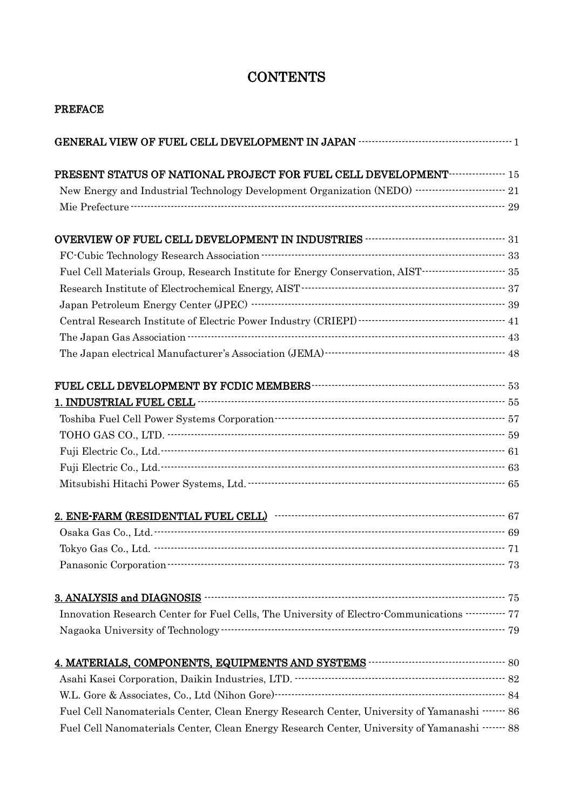## **CONTENTS**

| <b>PREFACE</b>                                                                                                                                                                                                                           |  |
|------------------------------------------------------------------------------------------------------------------------------------------------------------------------------------------------------------------------------------------|--|
|                                                                                                                                                                                                                                          |  |
| PRESENT STATUS OF NATIONAL PROJECT FOR FUEL CELL DEVELOPMENT <b>THEFT</b> 15                                                                                                                                                             |  |
| New Energy and Industrial Technology Development Organization (NEDO)<br><br>$\dots$ $\dots$ $\dots$ $\dots$ $21$                                                                                                                         |  |
|                                                                                                                                                                                                                                          |  |
|                                                                                                                                                                                                                                          |  |
| ${\hbox{FC-Cubeic Technology Research Association}\xspace} {\hbox{H\char'133}} {\hbox{73}}$                                                                                                                                              |  |
| Fuel Cell Materials Group, Research Institute for Energy Conservation, AIST------------------------- 35                                                                                                                                  |  |
|                                                                                                                                                                                                                                          |  |
|                                                                                                                                                                                                                                          |  |
|                                                                                                                                                                                                                                          |  |
| The Japan Gas Association $\cdots$ $\cdots$ $\cdots$ $\cdots$ $\cdots$ $\cdots$ $\cdots$ $\cdots$ $\cdots$ $\cdots$ $\cdots$ $\cdots$ $\cdots$ $\cdots$ $\cdots$ $\cdots$ $\cdots$ $\cdots$ $\cdots$ $\cdots$ $\cdots$ $\cdots$ $\cdots$ |  |
|                                                                                                                                                                                                                                          |  |
|                                                                                                                                                                                                                                          |  |
|                                                                                                                                                                                                                                          |  |
|                                                                                                                                                                                                                                          |  |
|                                                                                                                                                                                                                                          |  |
|                                                                                                                                                                                                                                          |  |
|                                                                                                                                                                                                                                          |  |
|                                                                                                                                                                                                                                          |  |
|                                                                                                                                                                                                                                          |  |
|                                                                                                                                                                                                                                          |  |
|                                                                                                                                                                                                                                          |  |
|                                                                                                                                                                                                                                          |  |
| 3. ANALYSIS and DIAGNOSIS <b>With the CONSTANT CONSTRUSTER ANALYSIS</b> and DIAGNOSIS                                                                                                                                                    |  |
| Innovation Research Center for Fuel Cells, The University of Electro-Communications ----------- 77                                                                                                                                       |  |
|                                                                                                                                                                                                                                          |  |
|                                                                                                                                                                                                                                          |  |
|                                                                                                                                                                                                                                          |  |
|                                                                                                                                                                                                                                          |  |
| Fuel Cell Nanomaterials Center, Clean Energy Research Center, University of Yamanashi ------- 86                                                                                                                                         |  |
| Fuel Cell Nanomaterials Center, Clean Energy Research Center, University of Yamanashi ------- 88                                                                                                                                         |  |